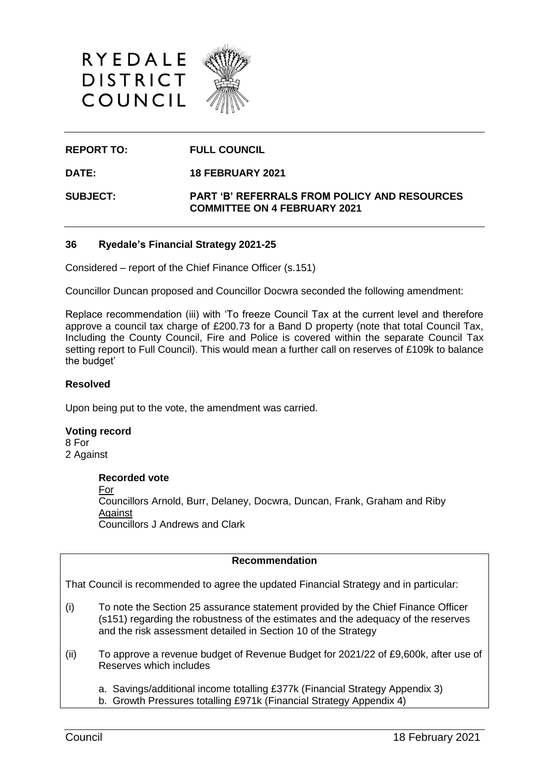



**REPORT TO: FULL COUNCIL**

**DATE: 18 FEBRUARY 2021**

**SUBJECT: PART 'B' REFERRALS FROM POLICY AND RESOURCES COMMITTEE ON 4 FEBRUARY 2021**

### **36 Ryedale's Financial Strategy 2021-25**

Considered – report of the Chief Finance Officer (s.151)

Councillor Duncan proposed and Councillor Docwra seconded the following amendment:

Replace recommendation (iii) with 'To freeze Council Tax at the current level and therefore approve a council tax charge of £200.73 for a Band D property (note that total Council Tax, Including the County Council, Fire and Police is covered within the separate Council Tax setting report to Full Council). This would mean a further call on reserves of £109k to balance the budget'

### **Resolved**

Upon being put to the vote, the amendment was carried.

#### **Voting record**

8 For 2 Against

#### **Recorded vote**

For Councillors Arnold, Burr, Delaney, Docwra, Duncan, Frank, Graham and Riby **Against** Councillors J Andrews and Clark

## **Recommendation**

That Council is recommended to agree the updated Financial Strategy and in particular:

- (i) To note the Section 25 assurance statement provided by the Chief Finance Officer (s151) regarding the robustness of the estimates and the adequacy of the reserves and the risk assessment detailed in Section 10 of the Strategy
- (ii) To approve a revenue budget of Revenue Budget for 2021/22 of £9,600k, after use of Reserves which includes
	- a. Savings/additional income totalling £377k (Financial Strategy Appendix 3)